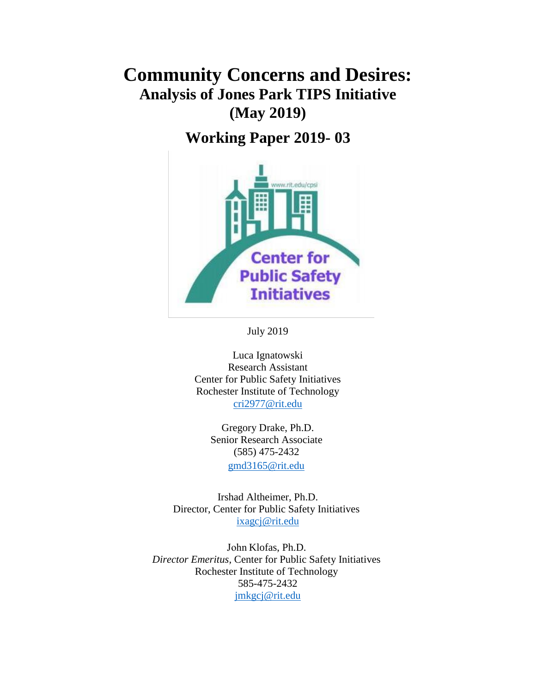# **Community Concerns and Desires: Analysis of Jones Park TIPS Initiative (May 2019)**

**Working Paper 2019- 03**



July 2019

Luca Ignatowski Research Assistant Center for Public Safety Initiatives Rochester Institute of Technology [cri2977@rit.edu](mailto:cri2977@rit.edu)

> Gregory Drake, Ph.D. Senior Research Associate (585) 475-2432 [gmd3165@rit.edu](mailto:gmd3165@rit.edu)

Irshad Altheimer, Ph.D. Director, Center for Public Safety Initiatives [ixagcj@rit.edu](mailto:ixagcj@rit.edu)

John Klofas, Ph.D. *Director Emeritus,* Center for Public Safety Initiatives Rochester Institute of Technology 585-475-2432 [jmkgcj@rit.edu](mailto:jmkgcj@rit.edu)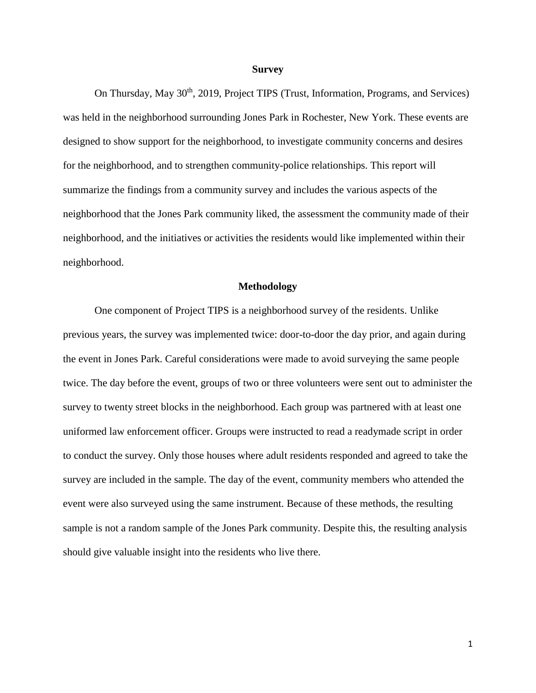#### **Survey**

On Thursday, May 30<sup>th</sup>, 2019, Project TIPS (Trust, Information, Programs, and Services) was held in the neighborhood surrounding Jones Park in Rochester, New York. These events are designed to show support for the neighborhood, to investigate community concerns and desires for the neighborhood, and to strengthen community-police relationships. This report will summarize the findings from a community survey and includes the various aspects of the neighborhood that the Jones Park community liked, the assessment the community made of their neighborhood, and the initiatives or activities the residents would like implemented within their neighborhood.

#### **Methodology**

One component of Project TIPS is a neighborhood survey of the residents. Unlike previous years, the survey was implemented twice: door-to-door the day prior, and again during the event in Jones Park. Careful considerations were made to avoid surveying the same people twice. The day before the event, groups of two or three volunteers were sent out to administer the survey to twenty street blocks in the neighborhood. Each group was partnered with at least one uniformed law enforcement officer. Groups were instructed to read a readymade script in order to conduct the survey. Only those houses where adult residents responded and agreed to take the survey are included in the sample. The day of the event, community members who attended the event were also surveyed using the same instrument. Because of these methods, the resulting sample is not a random sample of the Jones Park community. Despite this, the resulting analysis should give valuable insight into the residents who live there.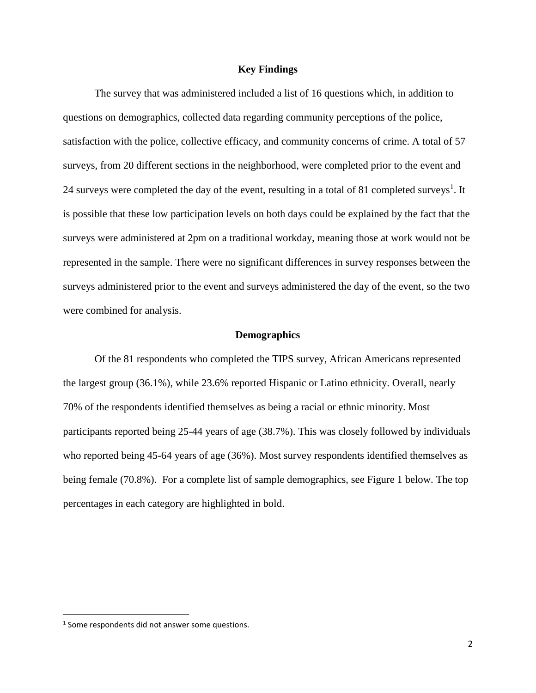## **Key Findings**

The survey that was administered included a list of 16 questions which, in addition to questions on demographics, collected data regarding community perceptions of the police, satisfaction with the police, collective efficacy, and community concerns of crime. A total of 57 surveys, from 20 different sections in the neighborhood, were completed prior to the event and 24 surveys were completed the day of the event, resulting in a total of 81 completed surveys<sup>1</sup>. It is possible that these low participation levels on both days could be explained by the fact that the surveys were administered at 2pm on a traditional workday, meaning those at work would not be represented in the sample. There were no significant differences in survey responses between the surveys administered prior to the event and surveys administered the day of the event, so the two were combined for analysis.

#### **Demographics**

Of the 81 respondents who completed the TIPS survey, African Americans represented the largest group (36.1%), while 23.6% reported Hispanic or Latino ethnicity. Overall, nearly 70% of the respondents identified themselves as being a racial or ethnic minority. Most participants reported being 25-44 years of age (38.7%). This was closely followed by individuals who reported being 45-64 years of age (36%). Most survey respondents identified themselves as being female (70.8%). For a complete list of sample demographics, see Figure 1 below. The top percentages in each category are highlighted in bold.

 $\overline{\phantom{a}}$ 

 $<sup>1</sup>$  Some respondents did not answer some questions.</sup>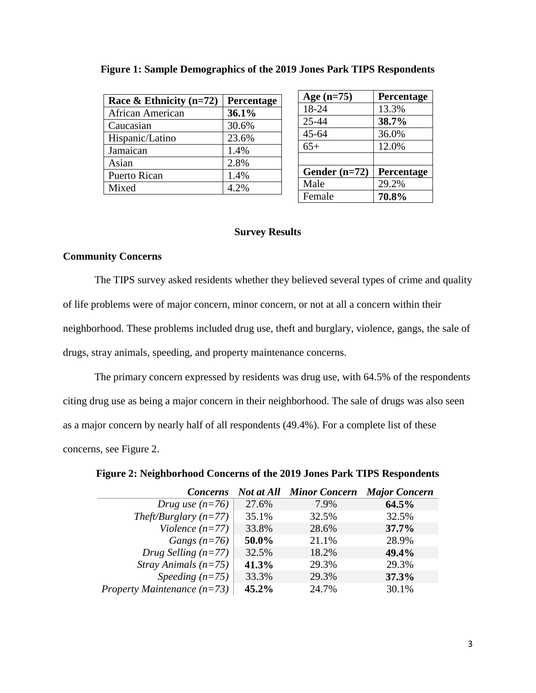| Race & Ethnicity $(n=72)$ | Percentage |
|---------------------------|------------|
| African American          | 36.1%      |
| Caucasian                 | 30.6%      |
| Hispanic/Latino           | 23.6%      |
| Jamaican                  | 1.4%       |
| Asian                     | 2.8%       |
| <b>Puerto Rican</b>       | 1.4%       |
| Mixed                     | 4.2%       |

|  |  | Figure 1: Sample Demographics of the 2019 Jones Park TIPS Respondents |
|--|--|-----------------------------------------------------------------------|
|  |  |                                                                       |

# **Age (n=75) Percentage** 18-24 13.3% 25-44 **38.7%** 45-64 36.0% 65+ 12.0% **Gender (n=72) Percentage** Male 29.2% Female **70.8%**

# **Survey Results**

# **Community Concerns**

The TIPS survey asked residents whether they believed several types of crime and quality of life problems were of major concern, minor concern, or not at all a concern within their neighborhood. These problems included drug use, theft and burglary, violence, gangs, the sale of drugs, stray animals, speeding, and property maintenance concerns.

The primary concern expressed by residents was drug use, with 64.5% of the respondents citing drug use as being a major concern in their neighborhood. The sale of drugs was also seen as a major concern by nearly half of all respondents (49.4%). For a complete list of these concerns, see Figure 2.

| Concerns                      | Not at All | <b>Minor Concern</b> | <b>Major Concern</b> |
|-------------------------------|------------|----------------------|----------------------|
| Drug use $(n=76)$             | 27.6%      | 7.9%                 | 64.5%                |
| Theft/Burglary $(n=77)$       | 35.1%      | 32.5%                | 32.5%                |
| Violence $(n=77)$             | 33.8%      | 28.6%                | 37.7%                |
| Gangs $(n=76)$                | 50.0%      | 21.1%                | 28.9%                |
| Drug Selling $(n=77)$         | 32.5%      | 18.2%                | 49.4%                |
| <i>Stray Animals</i> $(n=75)$ | 41.3%      | 29.3%                | 29.3%                |
| Speeding $(n=75)$             | 33.3%      | 29.3%                | 37.3%                |
| Property Maintenance $(n=73)$ | 45.2%      | 24.7%                | 30.1%                |

# **Figure 2: Neighborhood Concerns of the 2019 Jones Park TIPS Respondents**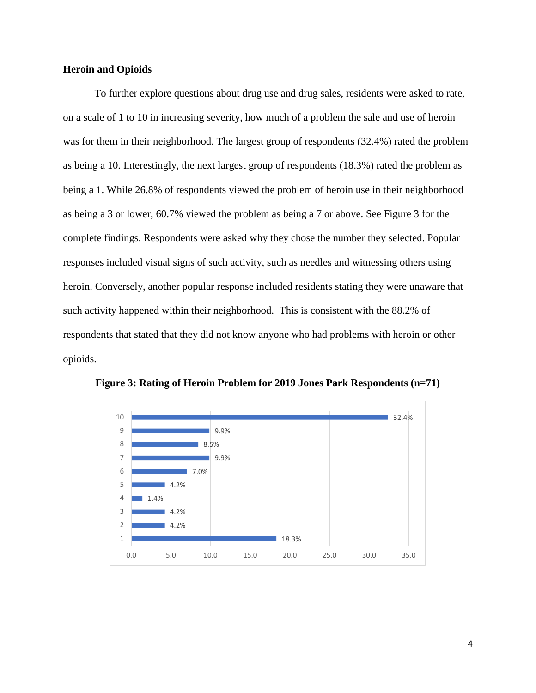# **Heroin and Opioids**

To further explore questions about drug use and drug sales, residents were asked to rate, on a scale of 1 to 10 in increasing severity, how much of a problem the sale and use of heroin was for them in their neighborhood. The largest group of respondents (32.4%) rated the problem as being a 10. Interestingly, the next largest group of respondents (18.3%) rated the problem as being a 1. While 26.8% of respondents viewed the problem of heroin use in their neighborhood as being a 3 or lower, 60.7% viewed the problem as being a 7 or above. See Figure 3 for the complete findings. Respondents were asked why they chose the number they selected. Popular responses included visual signs of such activity, such as needles and witnessing others using heroin. Conversely, another popular response included residents stating they were unaware that such activity happened within their neighborhood. This is consistent with the 88.2% of respondents that stated that they did not know anyone who had problems with heroin or other opioids.



**Figure 3: Rating of Heroin Problem for 2019 Jones Park Respondents (n=71)**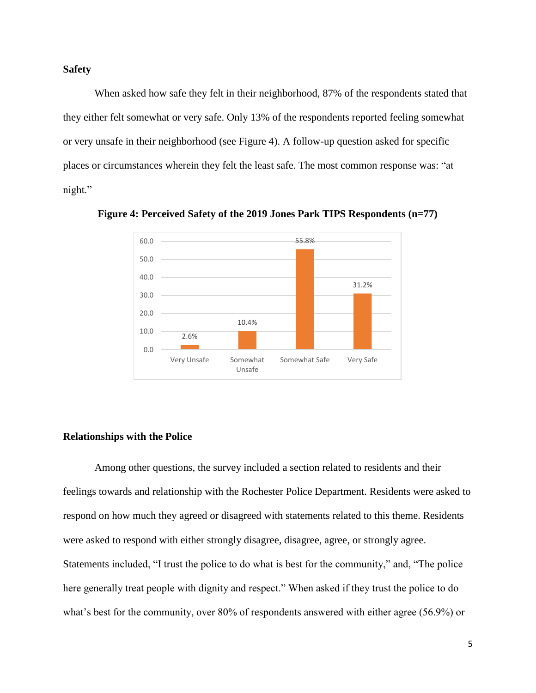#### **Safety**

When asked how safe they felt in their neighborhood, 87% of the respondents stated that they either felt somewhat or very safe. Only 13% of the respondents reported feeling somewhat or very unsafe in their neighborhood (see Figure 4). A follow-up question asked for specific places or circumstances wherein they felt the least safe. The most common response was: "at night."



**Figure 4: Perceived Safety of the 2019 Jones Park TIPS Respondents (n=77)**

#### **Relationships with the Police**

Among other questions, the survey included a section related to residents and their feelings towards and relationship with the Rochester Police Department. Residents were asked to respond on how much they agreed or disagreed with statements related to this theme. Residents were asked to respond with either strongly disagree, disagree, agree, or strongly agree. Statements included, "I trust the police to do what is best for the community," and, "The police here generally treat people with dignity and respect." When asked if they trust the police to do what's best for the community, over 80% of respondents answered with either agree (56.9%) or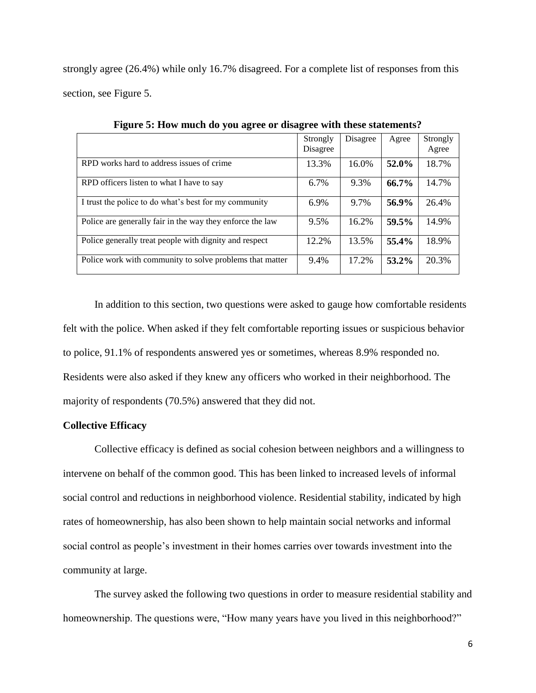strongly agree (26.4%) while only 16.7% disagreed. For a complete list of responses from this section, see Figure 5.

|                                                           | Strongly<br>Disagree | Disagree | Agree | Strongly<br>Agree |
|-----------------------------------------------------------|----------------------|----------|-------|-------------------|
| RPD works hard to address issues of crime                 | 13.3%                | 16.0%    | 52.0% | 18.7%             |
| RPD officers listen to what I have to say                 | 6.7%                 | 9.3%     | 66.7% | 14.7%             |
| I trust the police to do what's best for my community     | 6.9%                 | 9.7%     | 56.9% | 26.4%             |
| Police are generally fair in the way they enforce the law | 9.5%                 | 16.2%    | 59.5% | 14.9%             |
| Police generally treat people with dignity and respect    | 12.2%                | 13.5%    | 55.4% | 18.9%             |
| Police work with community to solve problems that matter  | 9.4%                 | 17.2%    | 53.2% | 20.3%             |

**Figure 5: How much do you agree or disagree with these statements?**

In addition to this section, two questions were asked to gauge how comfortable residents felt with the police. When asked if they felt comfortable reporting issues or suspicious behavior to police, 91.1% of respondents answered yes or sometimes, whereas 8.9% responded no. Residents were also asked if they knew any officers who worked in their neighborhood. The majority of respondents (70.5%) answered that they did not.

## **Collective Efficacy**

Collective efficacy is defined as social cohesion between neighbors and a willingness to intervene on behalf of the common good. This has been linked to increased levels of informal social control and reductions in neighborhood violence. Residential stability, indicated by high rates of homeownership, has also been shown to help maintain social networks and informal social control as people's investment in their homes carries over towards investment into the community at large.

The survey asked the following two questions in order to measure residential stability and homeownership. The questions were, "How many years have you lived in this neighborhood?"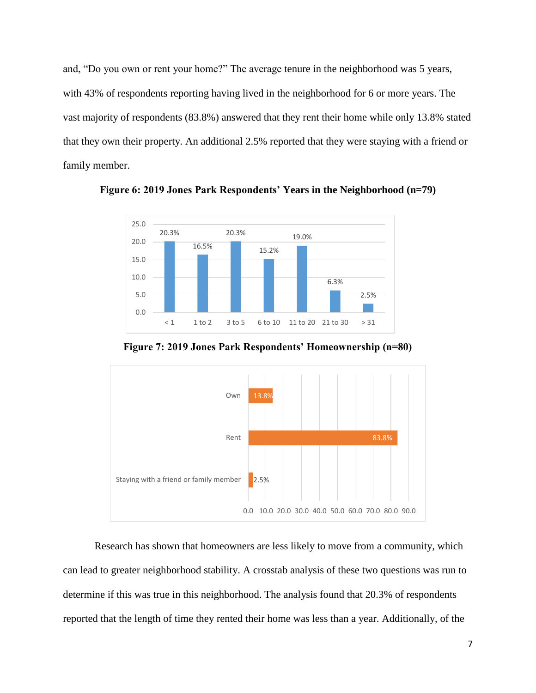and, "Do you own or rent your home?" The average tenure in the neighborhood was 5 years, with 43% of respondents reporting having lived in the neighborhood for 6 or more years. The vast majority of respondents (83.8%) answered that they rent their home while only 13.8% stated that they own their property. An additional 2.5% reported that they were staying with a friend or family member.



**Figure 6: 2019 Jones Park Respondents' Years in the Neighborhood (n=79)**





Research has shown that homeowners are less likely to move from a community, which can lead to greater neighborhood stability. A crosstab analysis of these two questions was run to determine if this was true in this neighborhood. The analysis found that 20.3% of respondents reported that the length of time they rented their home was less than a year. Additionally, of the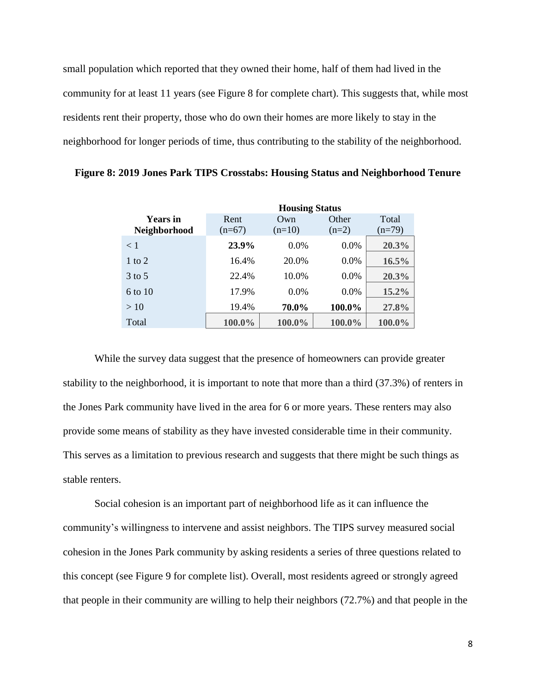small population which reported that they owned their home, half of them had lived in the community for at least 11 years (see Figure 8 for complete chart). This suggests that, while most residents rent their property, those who do own their homes are more likely to stay in the neighborhood for longer periods of time, thus contributing to the stability of the neighborhood.

|                     | <b>Housing Status</b> |          |         |          |
|---------------------|-----------------------|----------|---------|----------|
| <b>Years</b> in     | Rent                  | Own      | Other   | Total    |
| <b>Neighborhood</b> | $(n=67)$              | $(n=10)$ | $(n=2)$ | $(n=79)$ |
| < 1                 | 23.9%                 | $0.0\%$  | $0.0\%$ | 20.3%    |
| 1 to 2              | 16.4%                 | 20.0%    | $0.0\%$ | 16.5%    |
| $3$ to 5            | 22.4%                 | 10.0%    | $0.0\%$ | 20.3%    |
| $6 \text{ to } 10$  | 17.9%                 | $0.0\%$  | $0.0\%$ | 15.2%    |
| >10                 | 19.4%                 | 70.0%    | 100.0%  | 27.8%    |
| Total               | 100.0%                | 100.0%   | 100.0%  | 100.0%   |

**Figure 8: 2019 Jones Park TIPS Crosstabs: Housing Status and Neighborhood Tenure**

While the survey data suggest that the presence of homeowners can provide greater stability to the neighborhood, it is important to note that more than a third (37.3%) of renters in the Jones Park community have lived in the area for 6 or more years. These renters may also provide some means of stability as they have invested considerable time in their community. This serves as a limitation to previous research and suggests that there might be such things as stable renters.

Social cohesion is an important part of neighborhood life as it can influence the community's willingness to intervene and assist neighbors. The TIPS survey measured social cohesion in the Jones Park community by asking residents a series of three questions related to this concept (see Figure 9 for complete list). Overall, most residents agreed or strongly agreed that people in their community are willing to help their neighbors (72.7%) and that people in the